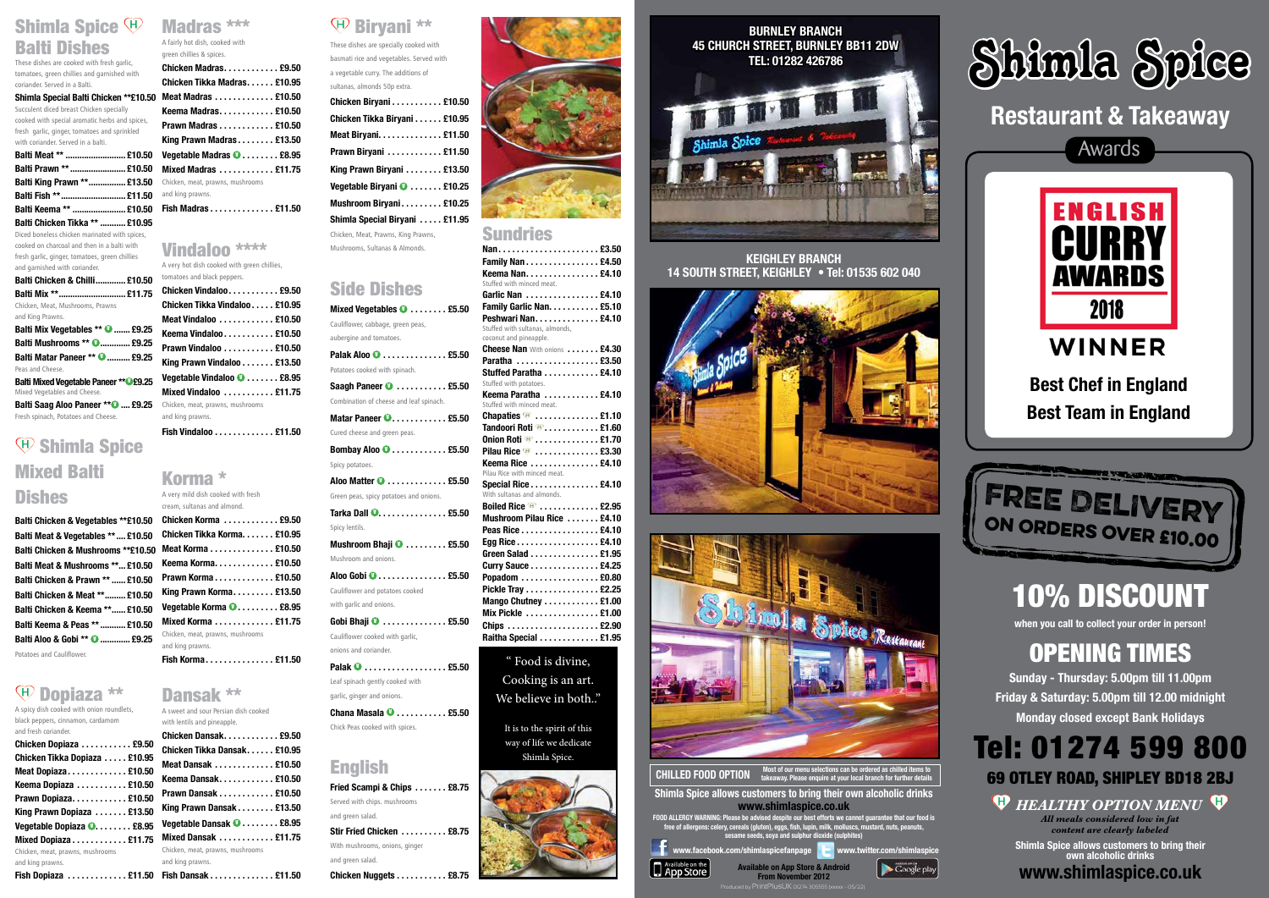### Shimla Spice  $\mathfrak{P}$ Balti Dishes

These dishes are cooked with fresh garlic, tomatoes, green chillies and garnished with coriander. Served in a Balti.

### **Shimla Special Balti Chicken \*\*£10.50**

Succulent diced breast Chicken specially cooked with special aromatic herbs and spices, fresh garlic, ginger, tomatoes and sprinkled with coriander. Served in a balti.

| Balti Meat **  £10.50          |  |
|--------------------------------|--|
| Balti Prawn **  £10.50         |  |
| Balti King Prawn ** £13.50     |  |
| Balti Fish **  £11.50          |  |
| Balti Keema **  £10.50         |  |
| Balti Chicken Tikka **  £10.95 |  |

**Balti Mix Vegetables \*\***  $\bullet$  **....... £9.25 Balti Mushrooms \*\***  $\bullet$  **............. £9.25 Balti Matar Paneer \*\* <sup>0</sup> .......... £9.25** Peas and Cheese. **Balti Mixed Vegetable Paneer \*\*** 0£9.25 Mixed Vegetables and Cheese. **Balti Saag Aloo Paneer \*\* 0 .... £9.25** Fresh spinach, Potatoes and Cheese.

## $\mathfrak{D}$  Shimla Spice Mixed Balti **Dishes**

**Balti Chicken & Vegetables \*\*£10.50 Balti Meat & Vegetables \*\*.... £10.50 Balti Chicken & Mushrooms \*\*£10.50 Balti Meat & Mushrooms \*\*... £10.50 Balti Chicken & Prawn \*\*...... £10.50 Balti Chicken & Meat \*\*......... £10.50 Balti Chicken & Keema \*\*...... £10.50 Balti Keema & Peas \*\*........... £10.50 Balti Aloo & Gobi \*\* <sup>0</sup> ............. £9.25** 

Diced boneless chicken marinated with spices, cooked on charcoal and then in a balti with fresh garlic, ginger, tomatoes, green chillies and garnished with coriander.

**Balti Chicken & Chilli............. £10.50 Balti Mix \*\*............................. £11.75** Chicken, Meat, Mushrooms, Prawns and King Prawns.

 $\overline{A}$  spicy dish cooked with onion roundlets black peppers, cinnamon, cardamom and fresh coriander.

Potatoes and Cauliflower.

### $\Psi$  Dopiaza \*\*

#### Biryani \*\* GD.

## Madras \*\*\*

A fairly hot dish, cooked with green chillies & spices.

### Vindaloo \*\*\*\* A very hot dish cooked with green chillies, tomatoes and black peppers.

| Chicken Vindaloo £9.50                  |  |
|-----------------------------------------|--|
| Chicken Tikka Vindaloo £10.95           |  |
| Meat Vindaloo  £10.50                   |  |
| Keema Vindaloo £10.50                   |  |
| Prawn Vindaloo £10.50                   |  |
| King Prawn Vindaloo £13.50              |  |
| Vegetable Vindaloo <b>0</b> £8.95       |  |
| Mixed Vindaloo $\dots\dots\dots$ £11.75 |  |
| Chicken, meat, prawns, mushrooms        |  |
| and king prawns.                        |  |
|                                         |  |

|                                           | Chicken Dansak £9.50             |
|-------------------------------------------|----------------------------------|
| Chicken Dopiaza £9.50                     |                                  |
| Chicken Tikka Dopiaza £10.95              | Chicken Tikka Dansak £10.95      |
| Meat Dopiaza £10.50                       | Meat Dansak  £10.50              |
| Keema Dopiaza  £10.50                     | Keema Dansak £10.50              |
| Prawn Dopiaza £10.50                      | Prawn Dansak £10.50              |
|                                           | King Prawn Dansak £13.50         |
| King Prawn Dopiaza  £13.50                |                                  |
| Vegetable Dopiaza <b>O.</b> £8.95         | Vegetable Dansak <b>O</b> £8.95  |
| Mixed Dopiaza £11.75                      | Mixed Dansak  £11.75             |
| Chicken, meat, prawns, mushrooms          | Chicken, meat, prawns, mushrooms |
| and king prawns.                          | and king prawns.                 |
| Fish Dopiaza £11.50    Fish Dansak £11.50 |                                  |
|                                           |                                  |

**Fish Vindaloo . . £11.50**

### Korma \*

A very mild dish cooked with fresh cream, sultanas and almond.

| Chicken Korma  £9.50             |
|----------------------------------|
| Chicken Tikka Korma £10.95       |
| Meat Korma £10.50                |
| Keema Korma. £10.50              |
| Prawn Korma£10.50                |
| King Prawn Korma £13.50          |
| Vegetable Korma <b>O</b> £8.95   |
| Mixed Korma £11.75               |
| Chicken, meat, prawns, mushrooms |
| and king prawns.                 |
| Fish Korma £11.50                |

### Dansak \*\*

A sweet and sour Persian dish cooked with lentils and pineapple. **Chicken Dansak . . £9.50**

| Chicken Tikka Dansak £10.95                       |  |
|---------------------------------------------------|--|
| Meat Dansak £10.50                                |  |
| Keema Dansak £10.50                               |  |
| Prawn Dansak  £10.50                              |  |
| King Prawn Dansak £13.50                          |  |
| Vegetable Dansak <b>O</b> £8.95                   |  |
| Mixed Dansak $\ldots \ldots \ldots \ldots$ £11.75 |  |
| Chicken, meat, prawns, mushrooms                  |  |
| and king prawns.                                  |  |
|                                                   |  |

These dishes are specially cooked with basmati rice and vegetables. Served with a vegetable curry. The additions of sultanas, almonds 50p extra.

| Chicken Biryani £10.50              |
|-------------------------------------|
| Chicken Tikka Biryani £10.95        |
| Meat Biryani £11.50                 |
| Prawn Biryani  £11.50               |
| King Prawn Biryani £13.50           |
| Vegetable Biryani <b>O</b> £10.25   |
| Mushroom Biryani £10.25             |
| Shimla Special Biryani £11.95       |
| Chicken, Meat, Prawns, King Prawns, |

Mushrooms, Sultanas & Almonds.

### Side Dishes

| Mixed Vegetables $\bullet$ £5.50        | F                 |
|-----------------------------------------|-------------------|
| Cauliflower, cabbage, green peas,       | P                 |
| aubergine and tomatoes.                 | S<br>$\mathsf{C}$ |
| Palak Aloo <sup>1</sup> £5.50           | C                 |
| Potatoes cooked with spinach.           | P<br>S            |
| Saagh Paneer $\bullet$ £5.50            | S                 |
| Combination of cheese and leaf spinach. | K                 |
| Matar Paneer <b>O</b> £5.50             | S<br>C            |
| Cured cheese and green peas.            | T                 |
|                                         | 0                 |
| Bombay Aloo $\bullet$ £5.50             | p<br>K            |
| Spicy potatoes.                         | P                 |
| Aloo Matter <sup>1</sup> £5.50          | S                 |
| Green peas, spicy potatoes and onions.  | V<br>B            |
| Tarka Dall <b>O. £5.50</b>              | N                 |
| Spicy lentils.                          | P                 |
| Mushroom Bhaji <sup>1</sup> £5.50       | Е                 |
| Mushroom and onions.                    | G                 |
|                                         | C<br>p            |
| Cauliflower and potatoes cooked         | P                 |
| with garlic and onions.                 | N                 |
|                                         | N                 |
| Cauliflower cooked with garlic,         | C<br>R            |
| onions and coriander.                   |                   |
|                                         |                   |
|                                         |                   |
| Leaf spinach gently cooked with         |                   |

garlic, ginger and onions.

Chick Peas cooked with spices.

English

Served with chips. mushrooms



and green salad.

With mushrooms, onions, ginger

and green salad.

**Chicken Nuggets . . . . . . . . . . . £8.75**

**Chana Masala**  $\bullet$  **........... £5.50** 

### Sundries

| Nan £3.50                                                 |
|-----------------------------------------------------------|
| <b>Family Nan £4.50</b>                                   |
| Keema Nan£4.10                                            |
| Stuffed with minced meat.                                 |
| Garlic Nan £4.10                                          |
| Family Garlic Nan. £5.10                                  |
| Peshwari Nan. £4.10                                       |
| Stuffed with sultanas, almonds,                           |
| coconut and pineapple.                                    |
| <b>Cheese Nan With onions  £4.30</b>                      |
| Paratha  £3.50                                            |
| Stuffed Paratha  £4.10                                    |
| Stuffed with potatoes.                                    |
| Keema Paratha  £4.10                                      |
| Stuffed with minced meat.                                 |
| Chapaties $\bullet \quad \ldots \quad \ldots \quad$ £1.10 |
| Tandoori Roti <b>W. </b> £1.60                            |
|                                                           |
| Pilau Rice $\mathbf{\Psi}$ £3.30                          |
| Keema Rice  £4.10                                         |
| Pilau Rice with minced meat.                              |
| Special Rice £4.10                                        |
| With sultanas and almonds.                                |
| Boiled Rice $\bullet$ £2.95                               |
| Mushroom Pilau Rice  £4.10                                |
| Peas Rice £4.10                                           |
| Egg Rice £4.10                                            |
| Green Salad £1.95                                         |
| Curry Sauce £4.25                                         |
| Popadom  £0.80                                            |
| Pickle Tray £2.25                                         |
| Mango Chutney £1.00                                       |
| Mix Pickle $\ldots \ldots \ldots \ldots \ldots$ £1.00     |
|                                                           |
| Raitha Special  £1.95                                     |
|                                                           |
|                                                           |

Food is divine, Cooking is an art. We believe in both.."

It is to the spirit of this way of life we dedicate Shimla Spice.



## OPENING TIMES

**Sunday - Thursday: 5.00pm till 11.00pm Friday & Saturday: 5.00pm till 12.00 midnight Monday closed except Bank Holidays**



69 OTLEY ROAD, SHIPLEY BD18 2BJ

*HEALTHY OPTION MENU All meals considered low in fat content are clearly labeled*



**www.facebook.com/shimlaspicefanpage www.twitter.com/shimlaspice**



App Store

Google play

**Shimla Spice allows customers to bring their own alcoholic drinks**

**www.shimlaspice.co.uk**

**Shimla Spice allows customers to bring their own alcoholic drinks www.shimlaspice.co.uk**



**KEIGHLEY BRANCH 14 SOUTH STREET, KEIGHLEY • Tel: 01535 602 040**



**FOOD ALLERGY WARNING: Please be advised despite our best efforts we cannot guarantee that our food is free of allergens: celery, cereals (gluten), eggs, fish, lupin, milk, molluscs, mustard, nuts, peanuts, sesame seeds, soya and sulphur dioxide (sulphites)**

Produced by PrintPlusUK 01274 305555 (xxxxx - 05/22)